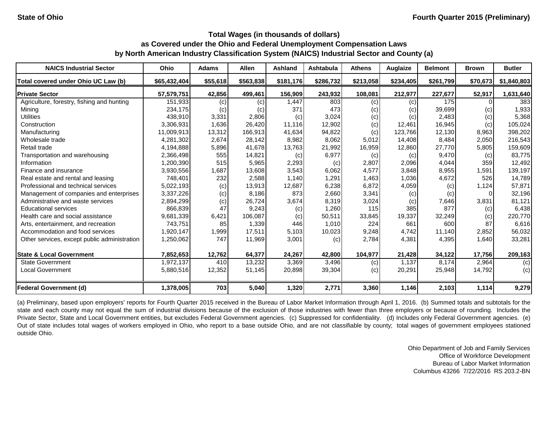| <b>NAICS Industrial Sector</b>               | Ohio         | Adams    | <b>Allen</b> | <b>Ashland</b> | Ashtabula | <b>Athens</b> | Auglaize  | <b>Belmont</b> | <b>Brown</b> | <b>Butler</b> |
|----------------------------------------------|--------------|----------|--------------|----------------|-----------|---------------|-----------|----------------|--------------|---------------|
| Total covered under Ohio UC Law (b)          | \$65,432,404 | \$55,618 | \$563,838    | \$181,176      | \$286,732 | \$213,058     | \$234,405 | \$261,799      | \$70,673     | \$1,840,803   |
| <b>Private Sector</b>                        | 57,579,751   | 42,856   | 499,461      | 156,909        | 243,932   | 108,081       | 212,977   | 227,677        | 52,917       | 1,631,640     |
| Agriculture, forestry, fishing and hunting   | 151.933      | (c)      | (c)          | 1.447          | 803       | (c)           | (c)       | 175            |              | 383           |
| Mining                                       | 234,175      | (c)      | (c)          | 371            | 473       | (c)           | (c)       | 39,699         | (c)          | 1,933         |
| <b>Utilities</b>                             | 438.910      | 3,331    | 2,806        | (c)            | 3,024     | (c)           | (c)       | 2,483          | (c)          | 5,368         |
| Construction                                 | 3,306,931    | 1,636    | 26,420       | 11.116         | 12,902    | (c)           | 12,461    | 16,945         | (c)          | 105,024       |
| Manufacturing                                | 11,009,913   | 13,312   | 166,913      | 41,634         | 94,822    | (c)           | 123,766   | 12,130         | 8,963        | 398,202       |
| Wholesale trade                              | 4,281,302    | 2,674    | 28,142       | 8,982          | 8,062     | 5,012         | 14,408    | 8,484          | 2,050        | 216,543       |
| Retail trade                                 | 4,194,888    | 5,896    | 41,678       | 13,763         | 21,992    | 16,959        | 12,860    | 27,770         | 5,805        | 159,609       |
| Transportation and warehousing               | 2,366,498    | 555      | 14,821       | (c)            | 6,977     | (c)           | (c)       | 9,470          | (c)          | 83,775        |
| Information                                  | 1,200,390    | 515      | 5,965        | 2,293          | (c)       | 2,807         | 2,096     | 4,044          | 359          | 12,492        |
| Finance and insurance                        | 3,930,556    | 1,687    | 13,608       | 3,543          | 6,062     | 4,577         | 3,848     | 8,955          | 1,591        | 139,197       |
| Real estate and rental and leasing           | 748,401      | 232      | 2,588        | 1,140          | 1,291     | 1,463         | 1,036     | 4,672          | 526          | 14,789        |
| Professional and technical services          | 5,022,193    | (c)      | 13,913       | 12,687         | 6,238     | 6,872         | 4,059     | (c)            | 1,124        | 57,871        |
| Management of companies and enterprises      | 3,337,226    | (c)      | 8,186        | 873            | 2,660     | 3,341         | (c)       | (c)            |              | 32,196        |
| Administrative and waste services            | 2,894,299    | (c)      | 26,724       | 3,674          | 8,319     | 3,024         | (c)       | 7,646          | 3,831        | 81,121        |
| <b>Educational services</b>                  | 866,839      | 47       | 9,243        | (c)            | 1,260     | 115           | 385       | 877            | (c)          | 6,438         |
| Health care and social assistance            | 9,681,339    | 6,421    | 106,087      | (c)            | 50,511    | 33,845        | 19,337    | 32,249         | (c)          | 220,770       |
| Arts, entertainment, and recreation          | 743,751      | 85       | 1,339        | 446            | 1.010     | 224           | 661       | 600            | 87           | 6,616         |
| Accommodation and food services              | 1,920,147    | 1,999    | 17,511       | 5,103          | 10,023    | 9,248         | 4,742     | 11.140         | 2,852        | 56,032        |
| Other services, except public administration | 1,250,062    | 747      | 11,969       | 3,001          | (c)       | 2,784         | 4,381     | 4,395          | 1,640        | 33,281        |
| <b>State &amp; Local Government</b>          | 7,852,653    | 12,762   | 64,377       | 24,267         | 42,800    | 104,977       | 21,428    | 34,122         | 17,756       | 209,163       |
| <b>State Government</b>                      | 1,972,137    | 410      | 13,232       | 3,369          | 3,496     | (c)           | 1,137     | 8,174          | 2,964        | (c)           |
| <b>Local Government</b>                      | 5,880,516    | 12,352   | 51,145       | 20,898         | 39,304    | (c)           | 20,291    | 25,948         | 14,792       | (c)           |
| <b>Federal Government (d)</b>                | 1,378,005    | 703      | 5,040        | 1,320          | 2,771     | 3,360         | 1,146     | 2,103          | 1,114        | 9,279         |

(a) Preliminary, based upon employers' reports for Fourth Quarter 2015 received in the Bureau of Labor Market Information through April 1, 2016. (b) Summed totals and subtotals for the state and each county may not equal the sum of industrial divisions because of the exclusion of those industries with fewer than three employers or because of rounding. Includes the Private Sector, State and Local Government entities, but excludes Federal Government agencies. (c) Suppressed for confidentiality. (d) Includes only Federal Government agencies. (e) Out of state includes total wages of workers employed in Ohio, who report to a base outside Ohio, and are not classifiable by county; total wages of government employees stationed outside Ohio.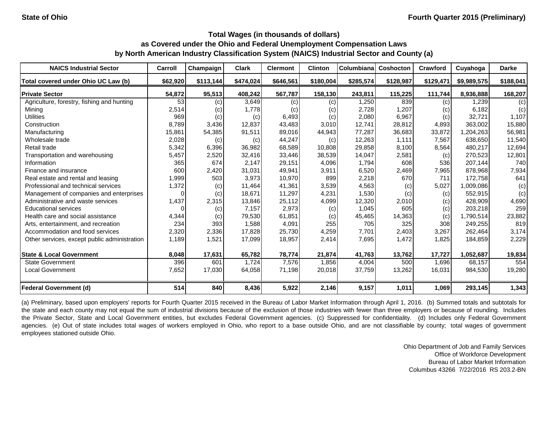| <b>NAICS Industrial Sector</b>               | Carroll  | Champaign | <b>Clark</b> | <b>Clermont</b> | <b>Clinton</b> | Columbiana | Coshocton | Crawford  | Cuyahoga    | <b>Darke</b> |
|----------------------------------------------|----------|-----------|--------------|-----------------|----------------|------------|-----------|-----------|-------------|--------------|
| Total covered under Ohio UC Law (b)          | \$62,920 | \$113,144 | \$474,024    | \$646,561       | \$180,004      | \$285,574  | \$128,987 | \$129,471 | \$9,989,575 | \$188,041    |
| <b>Private Sector</b>                        | 54,872   | 95,513    | 408,242      | 567,787         | 158,130        | 243,811    | 115,225   | 111,744   | 8,936,888   | 168,207      |
| Agriculture, forestry, fishing and hunting   | 53       | (c)       | 3,649        | (c)             | (c)            | 1,250      | 839       | (c)       | 1.239       | (c)          |
| Mining                                       | 2,514    | (c)       | 1,778        | (c)             | (c)            | 2,728      | 1,207     | (c)       | 6,182       | (c)          |
| <b>Utilities</b>                             | 969      | (c)       | (c)          | 6,493           | (c)            | 2,080      | 6,967     | (c)       | 32,721      | 1,107        |
| Construction                                 | 8,789    | 3,436     | 12,837       | 43,483          | 3,010          | 12,741     | 28,812    | 4,893     | 363,002     | 15,880       |
| Manufacturing                                | 15,861   | 54,385    | 91,511       | 89,016          | 44,943         | 77,287     | 36,683    | 33,872    | 1,204,263   | 56,981       |
| Wholesale trade                              | 2,028    | (c)       | (c)          | 44,247          | (c)            | 12,263     | 1,111     | 7,567     | 638,650     | 11,540       |
| Retail trade                                 | 5,342    | 6,396     | 36,982       | 68,589          | 10,808         | 29,858     | 8,100     | 8,564     | 480,217     | 12,694       |
| Transportation and warehousing               | 5,457    | 2,520     | 32,416       | 33,446          | 38,539         | 14,047     | 2,581     | (c)       | 270,523     | 12,801       |
| Information                                  | 365      | 674       | 2,147        | 29,151          | 4,096          | 1,794      | 608       | 536       | 207,144     | 740          |
| Finance and insurance                        | 600      | 2,420     | 31,031       | 49,941          | 3,911          | 6,520      | 2,469     | 7,965     | 878,968     | 7,934        |
| Real estate and rental and leasing           | 1,999    | 503       | 3,973        | 10,970          | 899            | 2,218      | 670       | 711       | 172,758     | 641          |
| Professional and technical services          | 1,372    | (c)       | 11,464       | 41,361          | 3,539          | 4,563      | (c)       | 5,027     | 1,009,086   | (c)          |
| Management of companies and enterprises      | 0        | (c)       | 18,671       | 11.297          | 4,231          | 1,530      | (c)       | (c)       | 552,915     | (c)          |
| Administrative and waste services            | 1,437    | 2,315     | 13,846       | 25,112          | 4,099          | 12,320     | 2,010     | (c)       | 428,909     | 4,690        |
| <b>Educational services</b>                  |          | (c)       | 7,157        | 2,973           | (c)            | 1,045      | 605       | (c)       | 203,218     | 259          |
| Health care and social assistance            | 4,344    | (c)       | 79,530       | 61,851          | (c)            | 45,465     | 14,363    | (c)       | 1,790,514   | 23,882       |
| Arts, entertainment, and recreation          | 234      | 393       | 1,588        | 4,091           | 255            | 705        | 325       | 308       | 249,255     | 819          |
| Accommodation and food services              | 2,320    | 2,336     | 17,828       | 25,730          | 4,259          | 7,701      | 2,403     | 3,267     | 262,464     | 3,174        |
| Other services, except public administration | 1,189    | 1,521     | 17,099       | 18,957          | 2,414          | 7,695      | 1,472     | 1,825     | 184,859     | 2,229        |
| <b>State &amp; Local Government</b>          | 8,048    | 17,631    | 65,782       | 78,774          | 21,874         | 41,763     | 13,762    | 17,727    | 1,052,687   | 19,834       |
| <b>State Government</b>                      | 396      | 601       | 1,724        | 7,576           | 1,856          | 4,004      | 500       | 1,696     | 68,157      | 554          |
| <b>Local Government</b>                      | 7,652    | 17,030    | 64,058       | 71,198          | 20,018         | 37,759     | 13,262    | 16,031    | 984,530     | 19,280       |
| <b>Federal Government (d)</b>                | 514      | 840       | 8,436        | 5,922           | 2,146          | 9,157      | 1,011     | 1,069     | 293,145     | 1,343        |

(a) Preliminary, based upon employers' reports for Fourth Quarter 2015 received in the Bureau of Labor Market Information through April 1, 2016. (b) Summed totals and subtotals for the state and each county may not equal the sum of industrial divisions because of the exclusion of those industries with fewer than three employers or because of rounding. Includes the Private Sector, State and Local Government entities, but excludes Federal Government agencies. (c) Suppressed for confidentiality. (d) Includes only Federal Government agencies. (e) Out of state includes total wages of workers employed in Ohio, who report to a base outside Ohio, and are not classifiable by county; total wages of government employees stationed outside Ohio.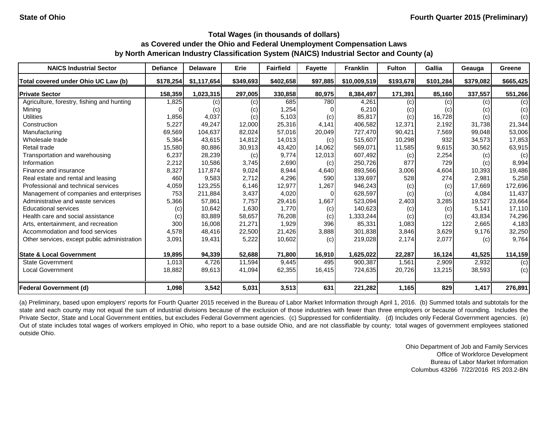| <b>NAICS Industrial Sector</b>               | <b>Defiance</b> | <b>Delaware</b> | Erie      | <b>Fairfield</b> | <b>Fayette</b> | <b>Franklin</b> | <b>Fulton</b> | Gallia    | Geauga    | Greene    |
|----------------------------------------------|-----------------|-----------------|-----------|------------------|----------------|-----------------|---------------|-----------|-----------|-----------|
| Total covered under Ohio UC Law (b)          | \$178,254       | \$1,117,654     | \$349,693 | \$402,658        | \$97,885       | \$10,009,519    | \$193,678     | \$101,284 | \$379,082 | \$665,425 |
| <b>Private Sector</b>                        | 158,359         | 1,023,315       | 297,005   | 330,858          | 80,975         | 8,384,497       | 171,391       | 85,160    | 337,557   | 551,266   |
| Agriculture, forestry, fishing and hunting   | 1,825           | (c)             | (c)       | 685              | 780            | 4,261           | (c)           | (c)       | (c)       | (c)       |
| Mining                                       |                 | (c)             | (c)       | 1,254            |                | 6,210           | (c)           | (c)       | (c)       | (c)       |
| <b>Utilities</b>                             | 1,856           | 4,037           | (c)       | 5,103            | (c)            | 85,817          | (c)           | 16,728    | (c)       | (c)       |
| Construction                                 | 5,227           | 49,247          | 12,000    | 25,316           | 4,141          | 406,582         | 12,371        | 2,192     | 31,738    | 21,344    |
| Manufacturing                                | 69,569          | 104,637         | 82,024    | 57,016           | 20,049         | 727,470         | 90,421        | 7,569     | 99,048    | 53,006    |
| Wholesale trade                              | 5,364           | 43,615          | 14,812    | 14,013           | (c)            | 515,607         | 10,298        | 932       | 34,573    | 17,853    |
| Retail trade                                 | 15,580          | 80,886          | 30,913    | 43,420           | 14,062         | 569,071         | 11,585        | 9,615     | 30,562    | 63,915    |
| Transportation and warehousing               | 6,237           | 28,239          | (c)       | 9,774            | 12,013         | 607,492         | (c)           | 2,254     | (c)       | (c)       |
| Information                                  | 2,212           | 10,586          | 3,745     | 2,690            | (c)            | 250,726         | 877           | 729       | (c)       | 8,994     |
| Finance and insurance                        | 8,327           | 117,874         | 9,024     | 8,944            | 4,640          | 893,566         | 3,006         | 4,604     | 10,393    | 19,486    |
| Real estate and rental and leasing           | 460             | 9,583           | 2,712     | 4,296            | 590            | 139,697         | 528           | 274       | 2,981     | 5,258     |
| Professional and technical services          | 4,059           | 123,255         | 6,146     | 12,977           | 1,267          | 946,243         | (c)           | (c)       | 17,669    | 172,696   |
| Management of companies and enterprises      | 753             | 211,884         | 3,437     | 4,020            | ∩              | 628,597         | (c)           | (c)       | 4,084     | 11,437    |
| Administrative and waste services            | 5,366           | 57,861          | 7,757     | 29,416           | 1,667          | 523,094         | 2,403         | 3,285     | 19,527    | 23,664    |
| <b>Educational services</b>                  | (c)             | 10,642          | 1,630     | 1,770            | (c)            | 140,623         | (c)           | (c)       | 5,141     | 17,110    |
| Health care and social assistance            | (c)             | 83,889          | 58,657    | 76,208           | (c)            | 1,333,244       | (c)           | (c)       | 43,834    | 74,296    |
| Arts, entertainment, and recreation          | 300             | 16.008          | 21,271    | 1,929            | 396            | 85,331          | 1,083         | 122       | 2,665     | 4,183     |
| Accommodation and food services              | 4,578           | 48,416          | 22,500    | 21,426           | 3,888          | 301,838         | 3,846         | 3,629     | 9,176     | 32,250    |
| Other services, except public administration | 3,091           | 19,431          | 5,222     | 10,602           | (c)            | 219,028         | 2,174         | 2,077     | (c)       | 9,764     |
| <b>State &amp; Local Government</b>          | 19,895          | 94,339          | 52,688    | 71,800           | 16,910         | 1,625,022       | 22,287        | 16,124    | 41,525    | 114,159   |
| <b>State Government</b>                      | 1,013           | 4,726           | 11,594    | 9,445            | 495            | 900,387         | 1,561         | 2,909     | 2,932     | (c)       |
| <b>Local Government</b>                      | 18,882          | 89,613          | 41,094    | 62,355           | 16,415         | 724,635         | 20,726        | 13,215    | 38,593    | (c)       |
| <b>Federal Government (d)</b>                | 1,098           | 3,542           | 5,031     | 3,513            | 631            | 221,282         | 1,165         | 829       | 1,417     | 276,891   |

(a) Preliminary, based upon employers' reports for Fourth Quarter 2015 received in the Bureau of Labor Market Information through April 1, 2016. (b) Summed totals and subtotals for the state and each county may not equal the sum of industrial divisions because of the exclusion of those industries with fewer than three employers or because of rounding. Includes the Private Sector, State and Local Government entities, but excludes Federal Government agencies. (c) Suppressed for confidentiality. (d) Includes only Federal Government agencies. (e) Out of state includes total wages of workers employed in Ohio, who report to a base outside Ohio, and are not classifiable by county; total wages of government employees stationed outside Ohio.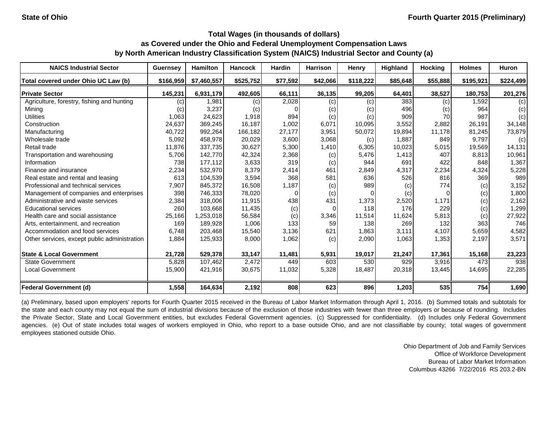| <b>NAICS Industrial Sector</b>               | <b>Guernsey</b> | <b>Hamilton</b> | <b>Hancock</b> | <b>Hardin</b> | <b>Harrison</b> | Henry     | Highland | <b>Hocking</b> | <b>Holmes</b> | <b>Huron</b> |
|----------------------------------------------|-----------------|-----------------|----------------|---------------|-----------------|-----------|----------|----------------|---------------|--------------|
| Total covered under Ohio UC Law (b)          | \$166.959       | \$7,460,557     | \$525,752      | \$77,592      | \$42,066        | \$118,222 | \$85,648 | \$55,888       | \$195,921     | \$224,499    |
| <b>Private Sector</b>                        | 145,231         | 6.931.179       | 492,605        | 66,111        | 36,135          | 99,205    | 64,401   | 38,527         | 180,753       | 201,276      |
| Agriculture, forestry, fishing and hunting   | (c)             | 1,981           | (c)            | 2,028         | (c)             | (c)       | 383      | (c)            | 1,592         | (c)          |
| Mining                                       | (c)             | 3,237           | (c)            |               | (c)             | (c)       | 496      | (c)            | 964           | (c)          |
| <b>Utilities</b>                             | 1,063           | 24,623          | 1,918          | 894           | (c)             | (c)       | 909      | 70             | 987           | (c)          |
| Construction                                 | 24,637          | 369,245         | 16,187         | 1,002         | 6,071           | 10,095    | 3,552    | 2,882          | 26.191        | 34,148       |
| Manufacturing                                | 40,722          | 992,264         | 166,182        | 27,177        | 3,951           | 50,072    | 19,894   | 11,178         | 81,245        | 73,879       |
| Wholesale trade                              | 5,092           | 458,978         | 20,029         | 3,600         | 3,068           | (c)       | 1,887    | 849            | 9.797         | (c)          |
| Retail trade                                 | 11,876          | 337,735         | 30,627         | 5,300         | 1,410           | 6,305     | 10,023   | 5,015          | 19,569        | 14,131       |
| Transportation and warehousing               | 5,706           | 142,770         | 42,324         | 2,368         | (c)             | 5,476     | 1,413    | 407            | 8,813         | 10,961       |
| Information                                  | 738             | 177,112         | 3,633          | 319           | (c)             | 944       | 691      | 422            | 848           | 1,367        |
| Finance and insurance                        | 2,234           | 532.970         | 8,379          | 2,414         | 461             | 2,849     | 4,317    | 2,234          | 4,324         | 5,228        |
| Real estate and rental and leasing           | 613             | 104,539         | 3,594          | 368           | 581             | 636       | 526      | 816            | 369           | 989          |
| Professional and technical services          | 7,907           | 845.372         | 16,508         | 1,187         | (c)             | 989       | (c)      | 774            | (c)           | 3,152        |
| Management of companies and enterprises      | 398             | 746,333         | 78,020         |               | (c)             |           | (c)      | 0              | (c)           | 1,800        |
| Administrative and waste services            | 2,384           | 318,006         | 11,915         | 438           | 431             | 1,373     | 2,520    | 1,171          | (c)           | 2,162        |
| <b>Educational services</b>                  | 260             | 103,668         | 11,435         | (c)           | 0               | 118       | 176      | 229            | (c)           | 1,299        |
| Health care and social assistance            | 25,166          | 1,253,018       | 56,584         | (c)           | 3,346           | 11,514    | 11,624   | 5,813          | (c)           | 27,922       |
| Arts, entertainment, and recreation          | 169             | 189,928         | 1,006          | 133           | 59              | 138       | 269      | 132            | 363           | 746          |
| Accommodation and food services              | 6,748           | 203,468         | 15,540         | 3,136         | 621             | 1,863     | 3,111    | 4,107          | 5,659         | 4,582        |
| Other services, except public administration | 1,884           | 125,933         | 8,000          | 1,062         | (c)             | 2,090     | 1,063    | 1,353          | 2,197         | 3,571        |
| <b>State &amp; Local Government</b>          | 21,728          | 529,378         | 33,147         | 11,481        | 5,931           | 19,017    | 21,247   | 17,361         | 15,168        | 23,223       |
| <b>State Government</b>                      | 5,828           | 107,462         | 2,472          | 449           | 603             | 530       | 929      | 3,916          | 473           | 938          |
| <b>Local Government</b>                      | 15,900          | 421,916         | 30,675         | 11,032        | 5,328           | 18,487    | 20,318   | 13,445         | 14,695        | 22,285       |
| <b>Federal Government (d)</b>                | 1,558           | 164,634         | 2,192          | 808           | 623             | 896       | 1,203    | 535            | 754           | 1,690        |

(a) Preliminary, based upon employers' reports for Fourth Quarter 2015 received in the Bureau of Labor Market Information through April 1, 2016. (b) Summed totals and subtotals for the state and each county may not equal the sum of industrial divisions because of the exclusion of those industries with fewer than three employers or because of rounding. Includes the Private Sector, State and Local Government entities, but excludes Federal Government agencies. (c) Suppressed for confidentiality. (d) Includes only Federal Government agencies. (e) Out of state includes total wages of workers employed in Ohio, who report to a base outside Ohio, and are not classifiable by county; total wages of government employees stationed outside Ohio.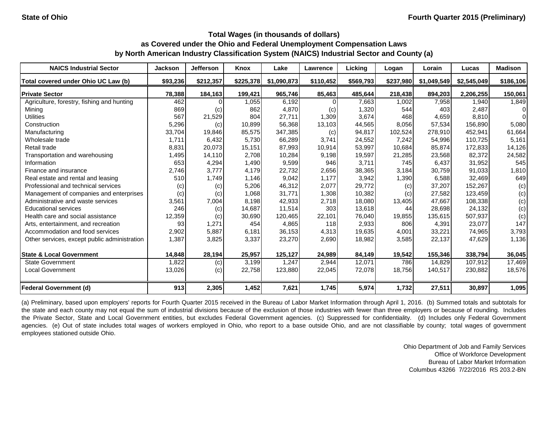| <b>NAICS Industrial Sector</b>               | <b>Jackson</b> | <b>Jefferson</b> | Knox      | Lake        | Lawrence  | Licking   | Logan     | Lorain      | Lucas       | <b>Madison</b> |
|----------------------------------------------|----------------|------------------|-----------|-------------|-----------|-----------|-----------|-------------|-------------|----------------|
| Total covered under Ohio UC Law (b)          | \$93,236       | \$212,357        | \$225,378 | \$1,090,873 | \$110,452 | \$569,793 | \$237,980 | \$1,049,549 | \$2,545,049 | \$186,106      |
| <b>Private Sector</b>                        | 78,388         | 184,163          | 199,421   | 965,746     | 85,463    | 485,644   | 218,438   | 894,203     | 2,206,255   | 150,061        |
| Agriculture, forestry, fishing and hunting   | 462            |                  | 1,055     | 6,192       |           | 7,663     | 1,002     | 7,958       | 1,940       | 1,849          |
| Mining                                       | 869            | (c)              | 862       | 4,870       | (c)       | 1,320     | 544       | 403         | 2,487       | 01             |
| <b>Utilities</b>                             | 567            | 21,529           | 804       | 27,711      | 1,309     | 3,674     | 468       | 4,659       | 8,810       | 0              |
| Construction                                 | 5,296          | (c)              | 10,899    | 56,368      | 13,103    | 44,565    | 8,056     | 57,534      | 156,890     | 5,080          |
| Manufacturing                                | 33,704         | 19,846           | 85,575    | 347,385     | (c)       | 94,817    | 102,524   | 278.910     | 452.941     | 61,664         |
| Wholesale trade                              | 1,711          | 6,432            | 5,730     | 66,289      | 3,741     | 24,552    | 7,242     | 54,996      | 110,725     | 5,161          |
| Retail trade                                 | 8,831          | 20,073           | 15,151    | 87,993      | 10,914    | 53,997    | 10,684    | 85.874      | 172.833     | 14,126         |
| Transportation and warehousing               | 1,495          | 14,110           | 2,708     | 10,284      | 9,198     | 19,597    | 21,285    | 23,568      | 82,372      | 24,582         |
| Information                                  | 653            | 4,294            | 1,490     | 9,599       | 946       | 3,711     | 745       | 6,437       | 31,952      | 545            |
| Finance and insurance                        | 2,746          | 3,777            | 4,179     | 22,732      | 2,656     | 38,365    | 3,184     | 30,759      | 91,033      | 1,810          |
| Real estate and rental and leasing           | 510            | 1,749            | 1,146     | 9,042       | 1.177     | 3,942     | 1,390     | 6,588       | 32,469      | 649            |
| Professional and technical services          | (c)            | (c)              | 5,206     | 46,312      | 2,077     | 29,772    | (c)       | 37,207      | 152,267     | (c)            |
| Management of companies and enterprises      | (c)            | (c)              | 1,068     | 31,771      | 1,308     | 10,382    | (c)       | 27,582      | 123,459     | (c)            |
| Administrative and waste services            | 3,561          | 7,004            | 8,198     | 42,933      | 2,718     | 18,080    | 13,405    | 47,667      | 108,338     | (c)            |
| <b>Educational services</b>                  | 246            | (c)              | 14,687    | 11,514      | 303       | 13,618    | 44        | 28,698      | 24,132      | (c)            |
| Health care and social assistance            | 12,359         | (c)              | 30,690    | 120,465     | 22,101    | 76,040    | 19,855    | 135,615     | 507,937     | (c)            |
| Arts, entertainment, and recreation          | 93             | 1,271            | 454       | 4,865       | 118       | 2,933     | 806       | 4,391       | 23,077      | 147            |
| Accommodation and food services              | 2,902          | 5,887            | 6,181     | 36,153      | 4,313     | 19,635    | 4,001     | 33,221      | 74,965      | 3,793          |
| Other services, except public administration | 1,387          | 3,825            | 3,337     | 23,270      | 2,690     | 18,982    | 3,585     | 22,137      | 47,629      | 1,136          |
| <b>State &amp; Local Government</b>          | 14,848         | 28,194           | 25,957    | 125,127     | 24,989    | 84,149    | 19,542    | 155,346     | 338,794     | 36,045         |
| <b>State Government</b>                      | 1,822          | (c)              | 3,199     | 1,247       | 2,944     | 12,071    | 786       | 14,829      | 107,912     | 17,469         |
| <b>Local Government</b>                      | 13,026         | (c)              | 22,758    | 123,880     | 22,045    | 72,078    | 18,756    | 140,517     | 230,882     | 18,576         |
| <b>Federal Government (d)</b>                | 913            | 2,305            | 1,452     | 7,621       | 1,745     | 5,974     | 1,732     | 27,511      | 30,897      | 1,095          |

(a) Preliminary, based upon employers' reports for Fourth Quarter 2015 received in the Bureau of Labor Market Information through April 1, 2016. (b) Summed totals and subtotals for the state and each county may not equal the sum of industrial divisions because of the exclusion of those industries with fewer than three employers or because of rounding. Includes the Private Sector, State and Local Government entities, but excludes Federal Government agencies. (c) Suppressed for confidentiality. (d) Includes only Federal Government agencies. (e) Out of state includes total wages of workers employed in Ohio, who report to a base outside Ohio, and are not classifiable by county; total wages of government employees stationed outside Ohio.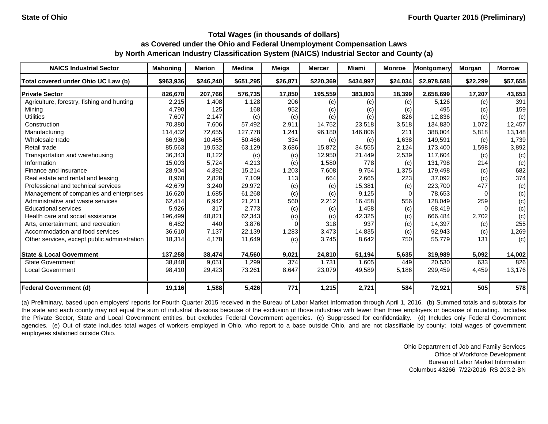| <b>NAICS Industrial Sector</b>               | <b>Mahoning</b> | <b>Marion</b> | <b>Medina</b> | <b>Meigs</b> | <b>Mercer</b> | <b>Miami</b>               | <b>Monroe</b> | Montgomery  | Morgan   | <b>Morrow</b> |
|----------------------------------------------|-----------------|---------------|---------------|--------------|---------------|----------------------------|---------------|-------------|----------|---------------|
| Total covered under Ohio UC Law (b)          | \$963,936       | \$246,240     | \$651,295     | \$26,871     | \$220,369     | \$434,997                  | \$24,034      | \$2,978,688 | \$22,299 | \$57,655      |
| <b>Private Sector</b>                        | 826,678         | 207,766       | 576,735       | 17,850       | 195,559       | 383,803                    | 18,399        | 2,658,699   | 17,207   | 43,653        |
| Agriculture, forestry, fishing and hunting   | 2,215           | 1,408         | 1,128         | 206          | (c)           | (c)                        | (c)           | 5,126       | (c)      | 391           |
| Mining                                       | 4,790           | 125           | 168           | 952          | (c)           | $\left( \mathrm{c}\right)$ | (c)           | 495         | (c)      | 159           |
| <b>Utilities</b>                             | 7,607           | 2,147         | (c)           | (c)          | (c)           | (c)                        | 826           | 12,836      | (c)      | (c)           |
| Construction                                 | 70,380          | 7,606         | 57,492        | 2,911        | 14,752        | 23,518                     | 3,518         | 134,830     | 1,072    | 12,457        |
| Manufacturing                                | 114,432         | 72,655        | 127.778       | 1,241        | 96,180        | 146,806                    | 211           | 388.004     | 5,818    | 13,148        |
| Wholesale trade                              | 66,936          | 10,465        | 50,466        | 334          | (c)           | (c)                        | 1,638         | 149,591     | (c)      | 1,739         |
| Retail trade                                 | 85,563          | 19,532        | 63,129        | 3,686        | 15,872        | 34,555                     | 2,124         | 173.400     | 1,598    | 3,892         |
| Transportation and warehousing               | 36,343          | 8,122         | (c)           | (c)          | 12,950        | 21,449                     | 2,539         | 117,604     | (c)      | (c)           |
| Information                                  | 15,003          | 5,724         | 4,213         | (c)          | 1,580         | 778                        | (c)           | 131.798     | 214      | (c)           |
| Finance and insurance                        | 28,904          | 4,392         | 15,214        | 1,203        | 7,608         | 9,754                      | 1,375         | 179,498     | (c)      | 682           |
| Real estate and rental and leasing           | 8,960           | 2,828         | 7,109         | 113          | 664           | 2,665                      | 223           | 37.092      | (c)      | 374           |
| Professional and technical services          | 42,679          | 3,240         | 29,972        | (c)          | (c)           | 15,381                     | (c)           | 223,700     | 477      | (c)           |
| Management of companies and enterprises      | 16,620          | 1,685         | 61,268        | (c)          | (c)           | 9,125                      |               | 78,653      |          | (c)           |
| Administrative and waste services            | 62,414          | 6,942         | 21,211        | 560          | 2,212         | 16,458                     | 556           | 128,049     | 259      | (c)           |
| <b>Educational services</b>                  | 5,926           | 317           | 2,773         | (c)          | (c)           | 1,458                      | (c)           | 68,419      |          | (c)           |
| Health care and social assistance            | 196,499         | 48,821        | 62,343        | (c)          | (c)           | 42,325                     | (c)           | 666,484     | 2,702    | (c)           |
| Arts, entertainment, and recreation          | 6,482           | 440           | 3,876         |              | 318           | 937                        | (c)           | 14,397      | (c)      | 255           |
| Accommodation and food services              | 36,610          | 7,137         | 22,139        | 1,283        | 3,473         | 14,835                     | (c)           | 92,943      | (c)      | 1,269         |
| Other services, except public administration | 18,314          | 4,178         | 11,649        | (c)          | 3,745         | 8,642                      | 750           | 55,779      | 131      | (c)           |
| <b>State &amp; Local Government</b>          | 137,258         | 38,474        | 74,560        | 9,021        | 24,810        | 51,194                     | 5,635         | 319,989     | 5,092    | 14,002        |
| <b>State Government</b>                      | 38,848          | 9,051         | 1,299         | 374          | 1,731         | 1,605                      | 449           | 20,530      | 633      | 826           |
| <b>Local Government</b>                      | 98,410          | 29,423        | 73,261        | 8,647        | 23,079        | 49,589                     | 5,186         | 299,459     | 4,459    | 13,176        |
| <b>Federal Government (d)</b>                | 19,116          | 1,588         | 5,426         | 771          | 1,215         | 2,721                      | 584           | 72,921      | 505      | 578           |

(a) Preliminary, based upon employers' reports for Fourth Quarter 2015 received in the Bureau of Labor Market Information through April 1, 2016. (b) Summed totals and subtotals for the state and each county may not equal the sum of industrial divisions because of the exclusion of those industries with fewer than three employers or because of rounding. Includes the Private Sector, State and Local Government entities, but excludes Federal Government agencies. (c) Suppressed for confidentiality. (d) Includes only Federal Government agencies. (e) Out of state includes total wages of workers employed in Ohio, who report to a base outside Ohio, and are not classifiable by county; total wages of government employees stationed outside Ohio.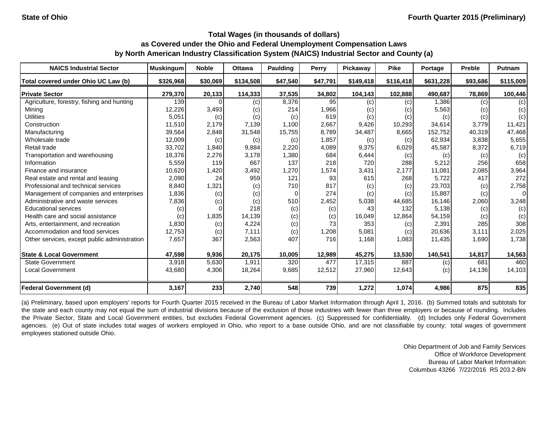| <b>NAICS Industrial Sector</b>               | <b>Muskingum</b> | <b>Noble</b> | <b>Ottawa</b> | Paulding | Perry    | Pickaway  | <b>Pike</b> | Portage   | <b>Preble</b> | <b>Putnam</b> |
|----------------------------------------------|------------------|--------------|---------------|----------|----------|-----------|-------------|-----------|---------------|---------------|
| Total covered under Ohio UC Law (b)          | \$326,968        | \$30,069     | \$134,508     | \$47,540 | \$47,791 | \$149,418 | \$116,418   | \$631,228 | \$93,686      | \$115,009     |
| <b>Private Sector</b>                        | 279,370          | 20,133       | 114,333       | 37,535   | 34,802   | 104,143   | 102,888     | 490,687   | 78,869        | 100,446       |
| Agriculture, forestry, fishing and hunting   | 139              |              | (c)           | 8,376    | 95       | (c)       | (c)         | 1,386     | (c)           | (c)           |
| Mining                                       | 12,226           | 3,493        | (c)           | 214      | 1,966    | (c)       | (c)         | 5,563     | (c)           | (c)           |
| <b>Utilities</b>                             | 5,051            | (c)          | (c)           | (c)      | 619      | (c)       | (c)         | (c)       | (c)           | (c)           |
| Construction                                 | 11,510           | 2,179        | 7,139         | 1,100    | 2,667    | 9,426     | 10,293      | 34,614    | 3,779         | 11,421        |
| Manufacturing                                | 39,564           | 2,848        | 31,548        | 15,755   | 8,789    | 34,487    | 8,665       | 152,752   | 40,319        | 47,468        |
| Wholesale trade                              | 12,009           | (c)          | (c)           | (c)      | 1,857    | (c)       | (c)         | 62,934    | 3,838         | 5,655         |
| Retail trade                                 | 33,702           | 1,840        | 9,884         | 2,220    | 4,089    | 9,375     | 6,029       | 45,587    | 8,372         | 6,719         |
| Transportation and warehousing               | 18,376           | 2,276        | 3,178         | 1,380    | 684      | 6,444     | (c)         | (c)       | (c)           | (c)           |
| Information                                  | 5,559            | 119          | 667           | 137      | 218      | 720       | 288         | 5,212     | 256           | 658           |
| Finance and insurance                        | 10,620           | 1,420        | 3,492         | 1,270    | 1,574    | 3,431     | 2,177       | 11,081    | 2,085         | 3,964         |
| Real estate and rental and leasing           | 2,090            | 24           | 959           | 121      | 93       | 615       | 268         | 5,722     | 417           | 272           |
| Professional and technical services          | 8,840            | 1,321        | (c)           | 710      | 817      | (c)       | (c)         | 23,703    | (c)           | 2,758         |
| Management of companies and enterprises      | 1,836            | (c)          | (c)           | $\Omega$ | 274      | (c)       | (c)         | 15,887    | (c)           | $\Omega$      |
| Administrative and waste services            | 7,836            | (c)          | (c)           | 510      | 2,452    | 5,038     | 44,685      | 16,146    | 2,060         | 3,248         |
| <b>Educational services</b>                  | (c)              |              | 218           | (c)      | (c)      | 43        | 132         | 5,138     | (c)           | (c)           |
| Health care and social assistance            | (c)              | 1,835        | 14,139        | (c)      | (c)      | 16,049    | 12,864      | 54,159    | (c)           | (c)           |
| Arts, entertainment, and recreation          | 1,830            | (c)          | 4,224         | (c)      | 73       | 353       | (c)         | 2,391     | 285           | 308           |
| Accommodation and food services              | 12,753           | (c)          | 7,111         | (c)      | 1,208    | 5,081     | (c)         | 20,636    | 3,111         | 2,025         |
| Other services, except public administration | 7,657            | 367          | 2,563         | 407      | 716      | 1,168     | 1,083       | 11,435    | 1,690         | 1,738         |
| <b>State &amp; Local Government</b>          | 47,598           | 9,936        | 20,175        | 10,005   | 12,989   | 45,275    | 13,530      | 140,541   | 14,817        | 14,563        |
| <b>State Government</b>                      | 3,918            | 5,630        | 1,911         | 320      | 477      | 17,315    | 887         | (c)       | 681           | 460           |
| <b>Local Government</b>                      | 43,680           | 4,306        | 18,264        | 9,685    | 12,512   | 27,960    | 12,643      | (c)       | 14,136        | 14,103        |
| <b>Federal Government (d)</b>                | 3,167            | 233          | 2,740         | 548      | 739      | 1,272     | 1,074       | 4,986     | 875           | 835           |

(a) Preliminary, based upon employers' reports for Fourth Quarter 2015 received in the Bureau of Labor Market Information through April 1, 2016. (b) Summed totals and subtotals for the state and each county may not equal the sum of industrial divisions because of the exclusion of those industries with fewer than three employers or because of rounding. Includes the Private Sector, State and Local Government entities, but excludes Federal Government agencies. (c) Suppressed for confidentiality. (d) Includes only Federal Government agencies. (e) Out of state includes total wages of workers employed in Ohio, who report to a base outside Ohio, and are not classifiable by county; total wages of government employees stationed outside Ohio.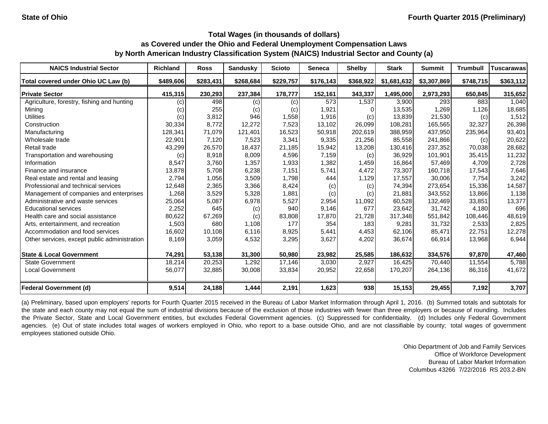| <b>NAICS Industrial Sector</b>               | <b>Richland</b> | <b>Ross</b> | <b>Sandusky</b> | <b>Scioto</b> | <b>Seneca</b> | <b>Shelby</b> | <b>Stark</b> | <b>Summit</b> | <b>Trumbull</b> | Tuscarawas |
|----------------------------------------------|-----------------|-------------|-----------------|---------------|---------------|---------------|--------------|---------------|-----------------|------------|
| Total covered under Ohio UC Law (b)          | \$489,606       | \$283,431   | \$268,684       | \$229,757     | \$176,143     | \$368,922     | \$1,681,632  | \$3,307,869   | \$748,715       | \$363,112  |
| <b>Private Sector</b>                        | 415,315         | 230,293     | 237,384         | 178,777       | 152,161       | 343,337       | 1,495,000    | 2,973,293     | 650,845         | 315,652    |
| Agriculture, forestry, fishing and hunting   | (c)             | 498         | (c)             | (c)           | 573           | 1,537         | 3,900        | 293           | 883             | 1,040      |
| Mining                                       | (c)             | 255         | (c)             | (c)           | 1,921         |               | 13,535       | 1,269         | 1,126           | 18,685     |
| <b>Utilities</b>                             | (c)             | 3,812       | 946             | 1,558         | 1,916         | (c)           | 13,839       | 21,530        | (c)             | 1,512      |
| Construction                                 | 30,334          | 8,772       | 12,272          | 7,523         | 13,102        | 26,099        | 108,281      | 165,565       | 32,327          | 26,398     |
| Manufacturing                                | 128,341         | 71,079      | 121,401         | 16,523        | 50,918        | 202,619       | 388,959      | 437.950       | 235,964         | 93,401     |
| Wholesale trade                              | 22,901          | 7,120       | 7,523           | 3,341         | 9,335         | 21,256        | 85,558       | 241,866       | (c)             | 20,622     |
| Retail trade                                 | 43,299          | 26,570      | 18,437          | 21,185        | 15,942        | 13,208        | 130,416      | 237,352       | 70,038          | 28,682     |
| Transportation and warehousing               | (c)             | 8,918       | 8,009           | 4,596         | 7,159         | (c)           | 36,929       | 101,901       | 35,415          | 11,232     |
| Information                                  | 8,547           | 3,760       | 1,357           | 1,933         | 1,382         | 1,459         | 16,864       | 57,469        | 4,709           | 2,728      |
| Finance and insurance                        | 13,878          | 5,708       | 6,238           | 7,151         | 5,741         | 4,472         | 73,307       | 160,718       | 17,543          | 7,646      |
| Real estate and rental and leasing           | 2,794           | 1,056       | 3,509           | 1,798         | 444           | 1,129         | 17,557       | 30,006        | 7,754           | 3,242      |
| Professional and technical services          | 12,648          | 2,365       | 3,366           | 8,424         | (c)           | (c)           | 74,394       | 273,654       | 15,336          | 14,587     |
| Management of companies and enterprises      | 1,268           | 3,529       | 5,328           | 1,881         | (c)           | (c)           | 21,881       | 343,552       | 13,866          | 1,138      |
| Administrative and waste services            | 25,064          | 5,087       | 6,978           | 5,527         | 2,954         | 11,092        | 60,528       | 132,469       | 33,851          | 13,377     |
| <b>Educational services</b>                  | 2,252           | 645         | (c)             | 940           | 9,146         | 677           | 23,642       | 31,742        | 4,180           | 696        |
| Health care and social assistance            | 80,622          | 67,269      | (c)             | 83,808        | 17,870        | 21,728        | 317,348      | 551,842       | 108,446         | 48,619     |
| Arts, entertainment, and recreation          | 1,503           | 680         | 1,108           | 177           | 354           | 183           | 9,281        | 31,732        | 2,533           | 2,825      |
| Accommodation and food services              | 16,602          | 10,108      | 6,116           | 8,925         | 5,441         | 4,453         | 62,106       | 85,471        | 22,751          | 12,278     |
| Other services, except public administration | 8,169           | 3,059       | 4,532           | 3,295         | 3,627         | 4,202         | 36,674       | 66,914        | 13,968          | 6,944      |
| <b>State &amp; Local Government</b>          | 74,291          | 53,138      | 31,300          | 50,980        | 23,982        | 25,585        | 186,632      | 334,576       | 97,870          | 47,460     |
| <b>State Government</b>                      | 18,214          | 20,253      | 1,292           | 17,146        | 3,030         | 2,927         | 16,425       | 70,440        | 11,554          | 5,788      |
| <b>Local Government</b>                      | 56,077          | 32,885      | 30,008          | 33,834        | 20,952        | 22,658        | 170,207      | 264,136       | 86,316          | 41,672     |
| <b>Federal Government (d)</b>                | 9,514           | 24,188      | 1,444           | 2,191         | 1,623         | 938           | 15,153       | 29,455        | 7,192           | 3,707      |

(a) Preliminary, based upon employers' reports for Fourth Quarter 2015 received in the Bureau of Labor Market Information through April 1, 2016. (b) Summed totals and subtotals for the state and each county may not equal the sum of industrial divisions because of the exclusion of those industries with fewer than three employers or because of rounding. Includes the Private Sector, State and Local Government entities, but excludes Federal Government agencies. (c) Suppressed for confidentiality. (d) Includes only Federal Government agencies. (e) Out of state includes total wages of workers employed in Ohio, who report to a base outside Ohio, and are not classifiable by county; total wages of government employees stationed outside Ohio.